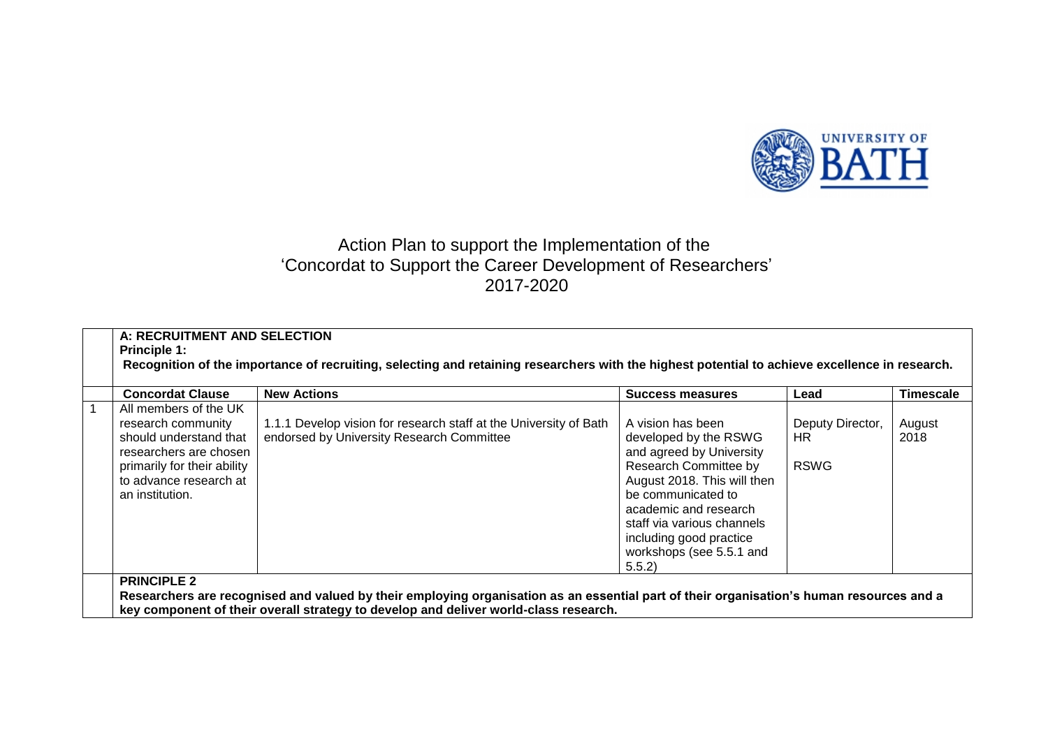

## Action Plan to support the Implementation of the 'Concordat to Support the Career Development of Researchers' 2017-2020

| <b>Concordat Clause</b>                                                                                                                                                     | <b>New Actions</b>                                                                                             | Success measures                                                                                                                                                                                                                                                            | Lead                                   | Timescale      |
|-----------------------------------------------------------------------------------------------------------------------------------------------------------------------------|----------------------------------------------------------------------------------------------------------------|-----------------------------------------------------------------------------------------------------------------------------------------------------------------------------------------------------------------------------------------------------------------------------|----------------------------------------|----------------|
| All members of the UK<br>research community<br>should understand that<br>researchers are chosen<br>primarily for their ability<br>to advance research at<br>an institution. | 1.1.1 Develop vision for research staff at the University of Bath<br>endorsed by University Research Committee | A vision has been<br>developed by the RSWG<br>and agreed by University<br>Research Committee by<br>August 2018. This will then<br>be communicated to<br>academic and research<br>staff via various channels<br>including good practice<br>workshops (see 5.5.1 and<br>5.5.2 | Deputy Director,<br>HR.<br><b>RSWG</b> | August<br>2018 |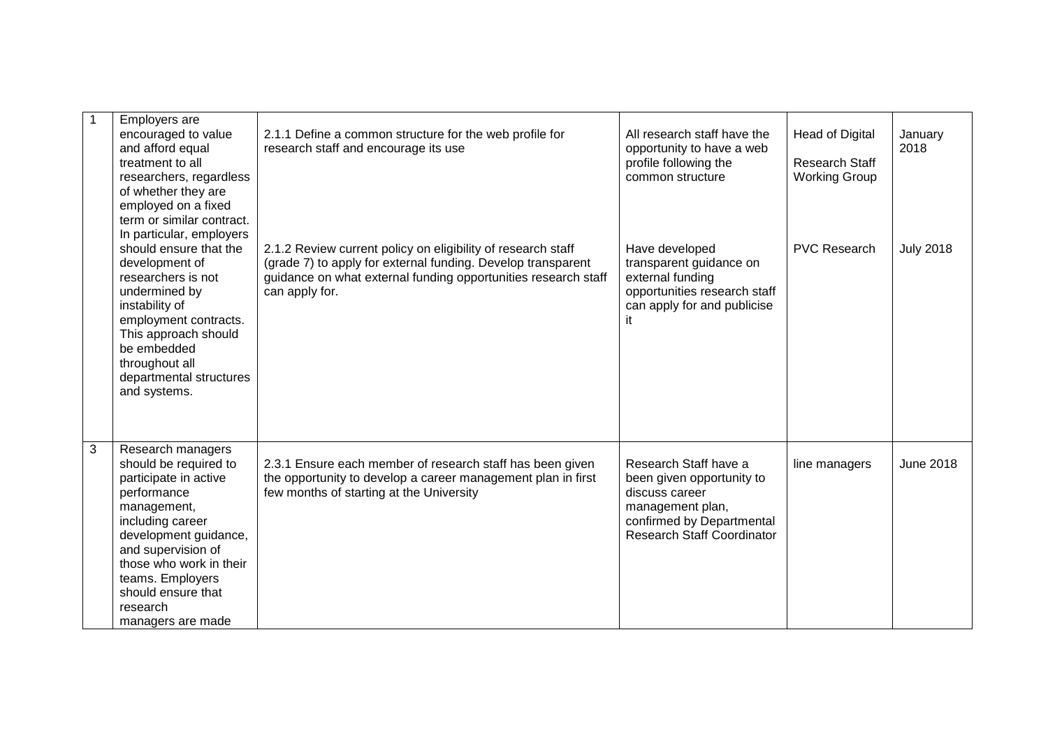| $\mathbf{1}$ | Employers are<br>encouraged to value<br>and afford equal<br>treatment to all<br>researchers, regardless<br>of whether they are<br>employed on a fixed<br>term or similar contract.<br>In particular, employers<br>should ensure that the<br>development of                 | 2.1.1 Define a common structure for the web profile for<br>research staff and encourage its use<br>2.1.2 Review current policy on eligibility of research staff<br>(grade 7) to apply for external funding. Develop transparent | All research staff have the<br>opportunity to have a web<br>profile following the<br>common structure<br>Have developed<br>transparent guidance on         | <b>Head of Digital</b><br><b>Research Staff</b><br><b>Working Group</b><br><b>PVC Research</b> | January<br>2018<br><b>July 2018</b> |
|--------------|----------------------------------------------------------------------------------------------------------------------------------------------------------------------------------------------------------------------------------------------------------------------------|---------------------------------------------------------------------------------------------------------------------------------------------------------------------------------------------------------------------------------|------------------------------------------------------------------------------------------------------------------------------------------------------------|------------------------------------------------------------------------------------------------|-------------------------------------|
|              | researchers is not<br>undermined by<br>instability of<br>employment contracts.<br>This approach should<br>be embedded<br>throughout all<br>departmental structures<br>and systems.                                                                                         | guidance on what external funding opportunities research staff<br>can apply for.                                                                                                                                                | external funding<br>opportunities research staff<br>can apply for and publicise<br>it                                                                      |                                                                                                |                                     |
| 3            | Research managers<br>should be required to<br>participate in active<br>performance<br>management,<br>including career<br>development guidance,<br>and supervision of<br>those who work in their<br>teams. Employers<br>should ensure that<br>research<br>managers are made | 2.3.1 Ensure each member of research staff has been given<br>the opportunity to develop a career management plan in first<br>few months of starting at the University                                                           | Research Staff have a<br>been given opportunity to<br>discuss career<br>management plan,<br>confirmed by Departmental<br><b>Research Staff Coordinator</b> | line managers                                                                                  | <b>June 2018</b>                    |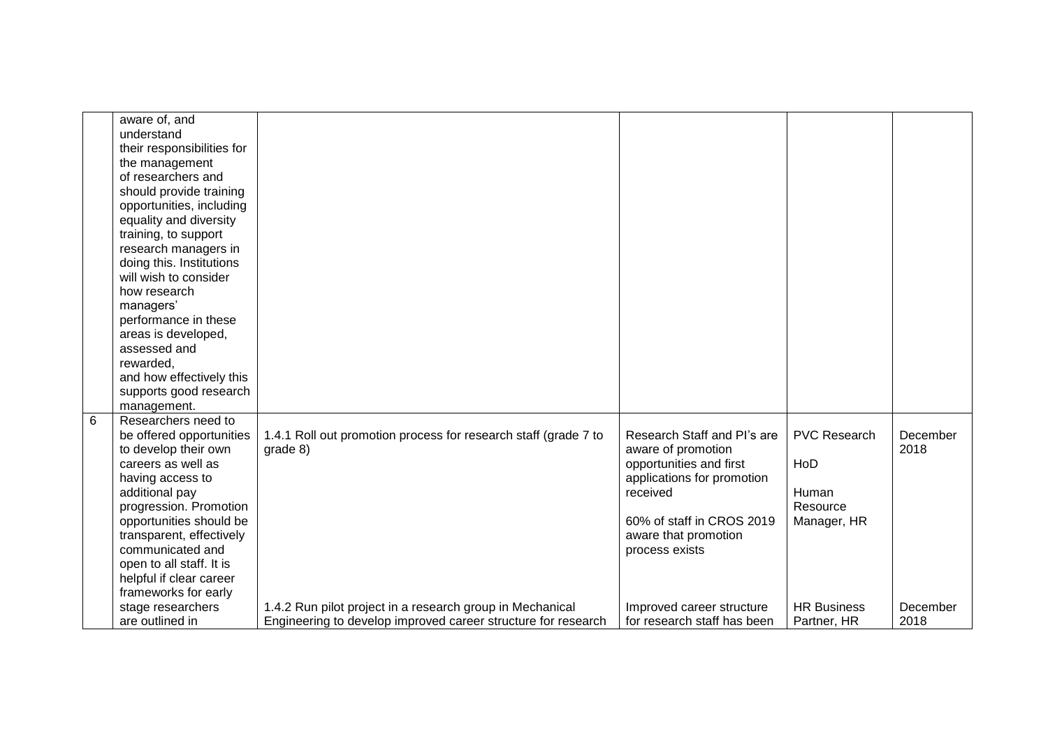|   | aware of, and<br>understand<br>their responsibilities for<br>the management<br>of researchers and<br>should provide training<br>opportunities, including<br>equality and diversity<br>training, to support<br>research managers in<br>doing this. Institutions<br>will wish to consider<br>how research<br>managers'<br>performance in these<br>areas is developed,<br>assessed and<br>rewarded,<br>and how effectively this<br>supports good research |                                                                                                                            |                                                                                                                                                                                               |                                                                |                  |
|---|--------------------------------------------------------------------------------------------------------------------------------------------------------------------------------------------------------------------------------------------------------------------------------------------------------------------------------------------------------------------------------------------------------------------------------------------------------|----------------------------------------------------------------------------------------------------------------------------|-----------------------------------------------------------------------------------------------------------------------------------------------------------------------------------------------|----------------------------------------------------------------|------------------|
|   | management.                                                                                                                                                                                                                                                                                                                                                                                                                                            |                                                                                                                            |                                                                                                                                                                                               |                                                                |                  |
| 6 | Researchers need to<br>be offered opportunities<br>to develop their own<br>careers as well as<br>having access to<br>additional pay<br>progression. Promotion<br>opportunities should be<br>transparent, effectively<br>communicated and<br>open to all staff. It is<br>helpful if clear career<br>frameworks for early                                                                                                                                | 1.4.1 Roll out promotion process for research staff (grade 7 to<br>grade 8)                                                | Research Staff and Pl's are<br>aware of promotion<br>opportunities and first<br>applications for promotion<br>received<br>60% of staff in CROS 2019<br>aware that promotion<br>process exists | <b>PVC Research</b><br>HoD<br>Human<br>Resource<br>Manager, HR | December<br>2018 |
|   | stage researchers<br>are outlined in                                                                                                                                                                                                                                                                                                                                                                                                                   | 1.4.2 Run pilot project in a research group in Mechanical<br>Engineering to develop improved career structure for research | Improved career structure<br>for research staff has been                                                                                                                                      | <b>HR Business</b><br>Partner, HR                              | December<br>2018 |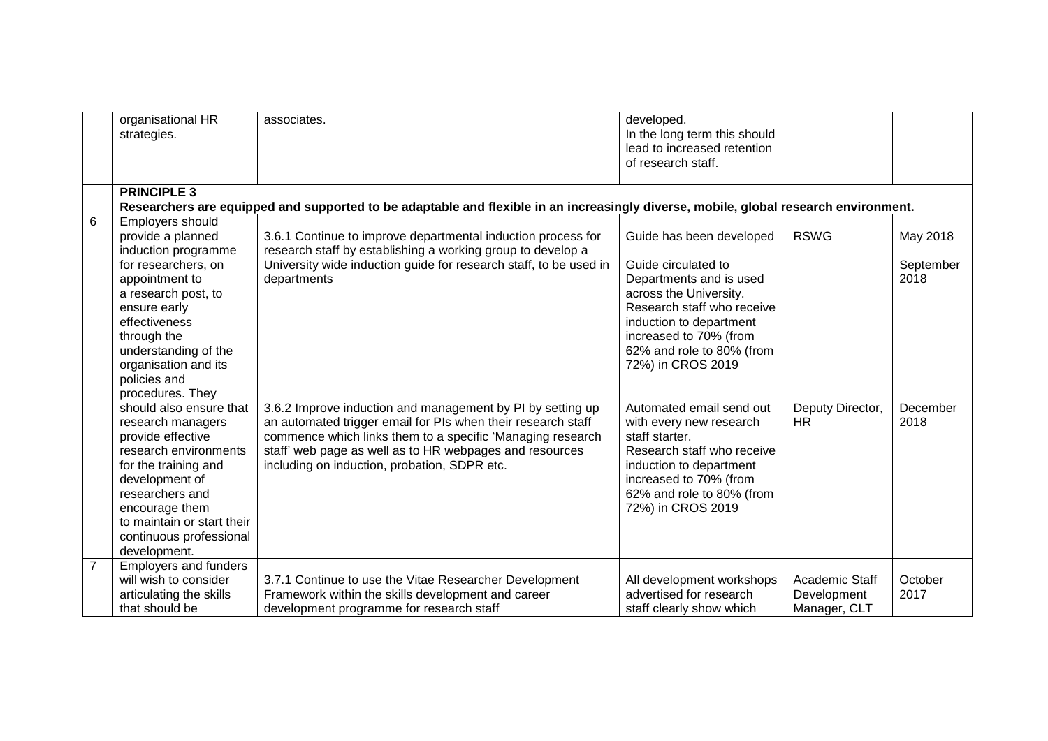|                | organisational HR<br>strategies.                                                                                                                                                                                                                                       | associates.                                                                                                                                                                                                                                                                                         | developed.<br>In the long term this should<br>lead to increased retention<br>of research staff.                                                                                                                                           |                                               |                               |
|----------------|------------------------------------------------------------------------------------------------------------------------------------------------------------------------------------------------------------------------------------------------------------------------|-----------------------------------------------------------------------------------------------------------------------------------------------------------------------------------------------------------------------------------------------------------------------------------------------------|-------------------------------------------------------------------------------------------------------------------------------------------------------------------------------------------------------------------------------------------|-----------------------------------------------|-------------------------------|
|                | <b>PRINCIPLE 3</b>                                                                                                                                                                                                                                                     |                                                                                                                                                                                                                                                                                                     |                                                                                                                                                                                                                                           |                                               |                               |
|                |                                                                                                                                                                                                                                                                        | Researchers are equipped and supported to be adaptable and flexible in an increasingly diverse, mobile, global research environment.                                                                                                                                                                |                                                                                                                                                                                                                                           |                                               |                               |
| 6              | Employers should<br>provide a planned<br>induction programme<br>for researchers, on<br>appointment to<br>a research post, to<br>ensure early<br>effectiveness<br>through the<br>understanding of the<br>organisation and its<br>policies and                           | 3.6.1 Continue to improve departmental induction process for<br>research staff by establishing a working group to develop a<br>University wide induction guide for research staff, to be used in<br>departments                                                                                     | Guide has been developed<br>Guide circulated to<br>Departments and is used<br>across the University.<br>Research staff who receive<br>induction to department<br>increased to 70% (from<br>62% and role to 80% (from<br>72%) in CROS 2019 | <b>RSWG</b>                                   | May 2018<br>September<br>2018 |
|                | procedures. They<br>should also ensure that<br>research managers<br>provide effective<br>research environments<br>for the training and<br>development of<br>researchers and<br>encourage them<br>to maintain or start their<br>continuous professional<br>development. | 3.6.2 Improve induction and management by PI by setting up<br>an automated trigger email for PIs when their research staff<br>commence which links them to a specific 'Managing research<br>staff' web page as well as to HR webpages and resources<br>including on induction, probation, SDPR etc. | Automated email send out<br>with every new research<br>staff starter.<br>Research staff who receive<br>induction to department<br>increased to 70% (from<br>62% and role to 80% (from<br>72%) in CROS 2019                                | Deputy Director,<br>HR.                       | December<br>2018              |
| $\overline{7}$ | Employers and funders<br>will wish to consider<br>articulating the skills<br>that should be                                                                                                                                                                            | 3.7.1 Continue to use the Vitae Researcher Development<br>Framework within the skills development and career<br>development programme for research staff                                                                                                                                            | All development workshops<br>advertised for research<br>staff clearly show which                                                                                                                                                          | Academic Staff<br>Development<br>Manager, CLT | October<br>2017               |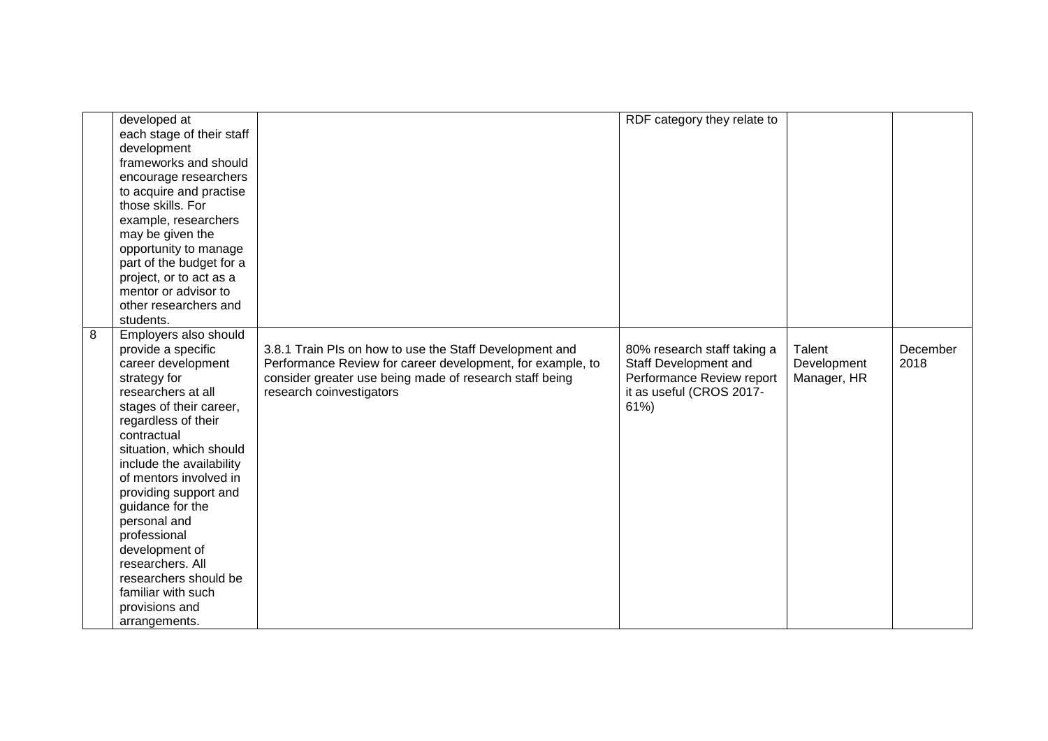|   | developed at              |                                                            | RDF category they relate to |             |          |
|---|---------------------------|------------------------------------------------------------|-----------------------------|-------------|----------|
|   | each stage of their staff |                                                            |                             |             |          |
|   | development               |                                                            |                             |             |          |
|   | frameworks and should     |                                                            |                             |             |          |
|   | encourage researchers     |                                                            |                             |             |          |
|   | to acquire and practise   |                                                            |                             |             |          |
|   | those skills. For         |                                                            |                             |             |          |
|   | example, researchers      |                                                            |                             |             |          |
|   | may be given the          |                                                            |                             |             |          |
|   | opportunity to manage     |                                                            |                             |             |          |
|   | part of the budget for a  |                                                            |                             |             |          |
|   | project, or to act as a   |                                                            |                             |             |          |
|   | mentor or advisor to      |                                                            |                             |             |          |
|   | other researchers and     |                                                            |                             |             |          |
|   | students.                 |                                                            |                             |             |          |
| 8 | Employers also should     |                                                            |                             |             |          |
|   | provide a specific        | 3.8.1 Train PIs on how to use the Staff Development and    | 80% research staff taking a | Talent      | December |
|   | career development        | Performance Review for career development, for example, to | Staff Development and       | Development | 2018     |
|   | strategy for              | consider greater use being made of research staff being    | Performance Review report   | Manager, HR |          |
|   | researchers at all        | research coinvestigators                                   | it as useful (CROS 2017-    |             |          |
|   | stages of their career,   |                                                            | 61%                         |             |          |
|   | regardless of their       |                                                            |                             |             |          |
|   | contractual               |                                                            |                             |             |          |
|   | situation, which should   |                                                            |                             |             |          |
|   | include the availability  |                                                            |                             |             |          |
|   | of mentors involved in    |                                                            |                             |             |          |
|   | providing support and     |                                                            |                             |             |          |
|   | guidance for the          |                                                            |                             |             |          |
|   | personal and              |                                                            |                             |             |          |
|   | professional              |                                                            |                             |             |          |
|   | development of            |                                                            |                             |             |          |
|   | researchers. All          |                                                            |                             |             |          |
|   | researchers should be     |                                                            |                             |             |          |
|   | familiar with such        |                                                            |                             |             |          |
|   | provisions and            |                                                            |                             |             |          |
|   | arrangements.             |                                                            |                             |             |          |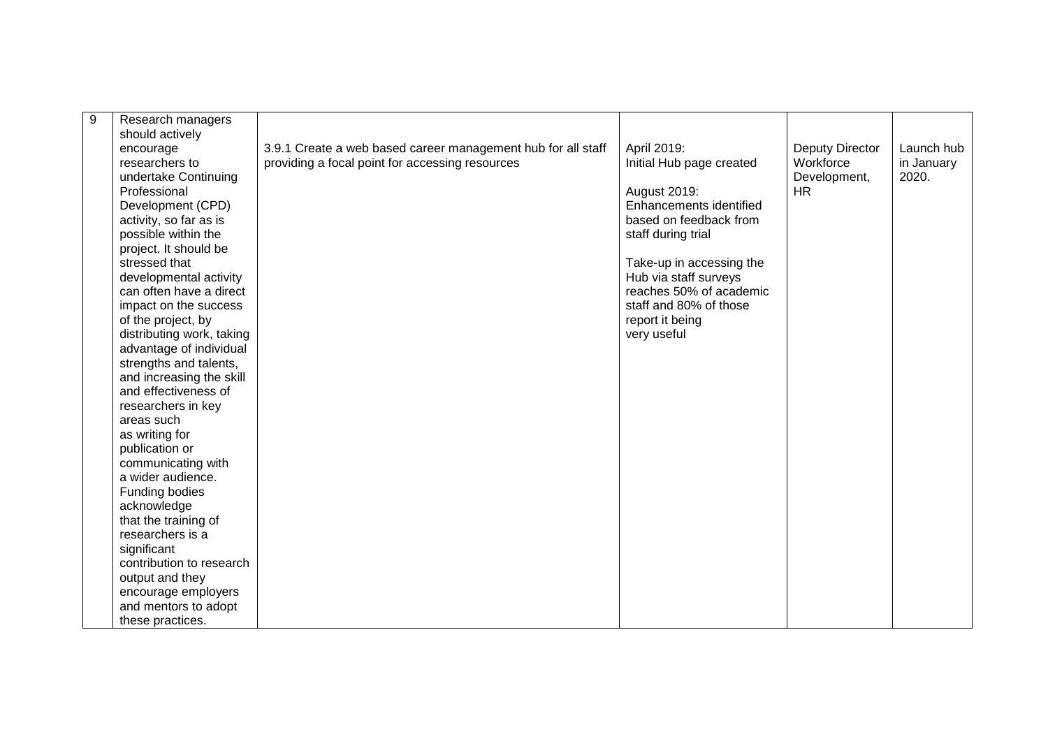| 9 | Research managers         |                                                              |                          |                 |            |
|---|---------------------------|--------------------------------------------------------------|--------------------------|-----------------|------------|
|   | should actively           |                                                              |                          |                 | Launch hub |
|   | encourage                 | 3.9.1 Create a web based career management hub for all staff | April 2019:              | Deputy Director |            |
|   | researchers to            | providing a focal point for accessing resources              | Initial Hub page created | Workforce       | in January |
|   | undertake Continuing      |                                                              |                          | Development,    | 2020.      |
|   | Professional              |                                                              | August 2019:             | <b>HR</b>       |            |
|   | Development (CPD)         |                                                              | Enhancements identified  |                 |            |
|   | activity, so far as is    |                                                              | based on feedback from   |                 |            |
|   | possible within the       |                                                              | staff during trial       |                 |            |
|   | project. It should be     |                                                              |                          |                 |            |
|   | stressed that             |                                                              | Take-up in accessing the |                 |            |
|   | developmental activity    |                                                              | Hub via staff surveys    |                 |            |
|   | can often have a direct   |                                                              | reaches 50% of academic  |                 |            |
|   | impact on the success     |                                                              | staff and 80% of those   |                 |            |
|   | of the project, by        |                                                              | report it being          |                 |            |
|   | distributing work, taking |                                                              | very useful              |                 |            |
|   | advantage of individual   |                                                              |                          |                 |            |
|   | strengths and talents,    |                                                              |                          |                 |            |
|   | and increasing the skill  |                                                              |                          |                 |            |
|   | and effectiveness of      |                                                              |                          |                 |            |
|   | researchers in key        |                                                              |                          |                 |            |
|   | areas such                |                                                              |                          |                 |            |
|   | as writing for            |                                                              |                          |                 |            |
|   | publication or            |                                                              |                          |                 |            |
|   | communicating with        |                                                              |                          |                 |            |
|   | a wider audience.         |                                                              |                          |                 |            |
|   | Funding bodies            |                                                              |                          |                 |            |
|   | acknowledge               |                                                              |                          |                 |            |
|   | that the training of      |                                                              |                          |                 |            |
|   | researchers is a          |                                                              |                          |                 |            |
|   | significant               |                                                              |                          |                 |            |
|   | contribution to research  |                                                              |                          |                 |            |
|   | output and they           |                                                              |                          |                 |            |
|   | encourage employers       |                                                              |                          |                 |            |
|   | and mentors to adopt      |                                                              |                          |                 |            |
|   | these practices.          |                                                              |                          |                 |            |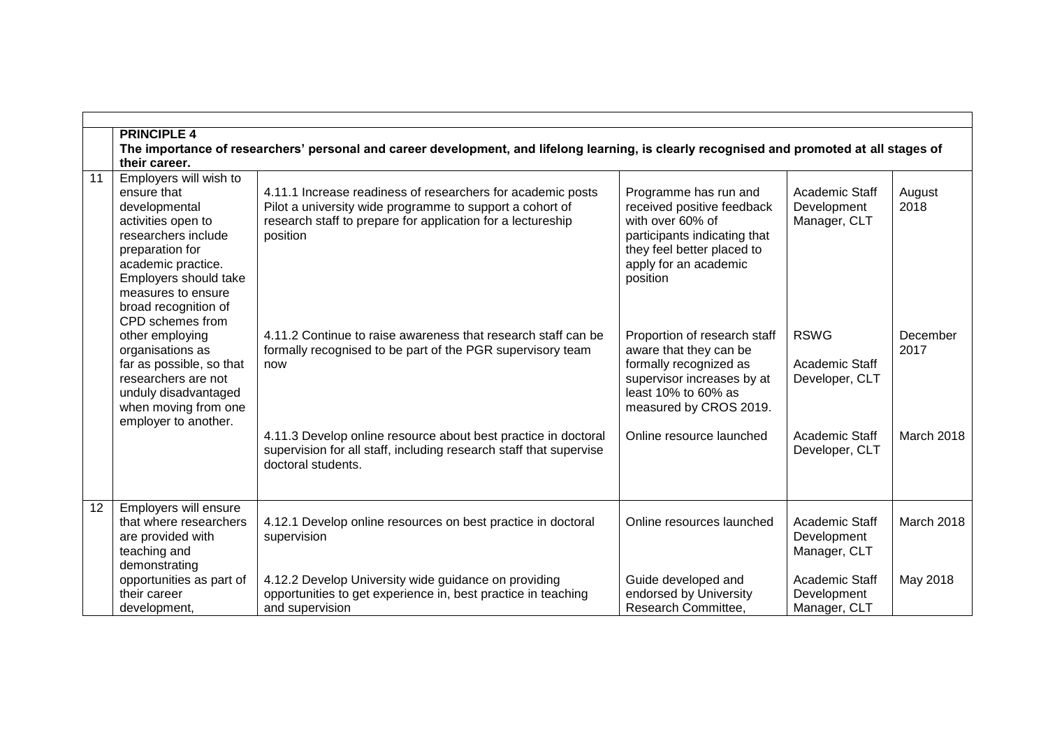|    | <b>PRINCIPLE 4</b>                                                                                                                                                                                                                      |                                                                                                                                                                                                    |                                                                                                                                                                            |                                                      |                   |  |  |
|----|-----------------------------------------------------------------------------------------------------------------------------------------------------------------------------------------------------------------------------------------|----------------------------------------------------------------------------------------------------------------------------------------------------------------------------------------------------|----------------------------------------------------------------------------------------------------------------------------------------------------------------------------|------------------------------------------------------|-------------------|--|--|
|    | The importance of researchers' personal and career development, and lifelong learning, is clearly recognised and promoted at all stages of                                                                                              |                                                                                                                                                                                                    |                                                                                                                                                                            |                                                      |                   |  |  |
|    | their career.                                                                                                                                                                                                                           |                                                                                                                                                                                                    |                                                                                                                                                                            |                                                      |                   |  |  |
| 11 | Employers will wish to<br>ensure that<br>developmental<br>activities open to<br>researchers include<br>preparation for<br>academic practice.<br>Employers should take<br>measures to ensure<br>broad recognition of<br>CPD schemes from | 4.11.1 Increase readiness of researchers for academic posts<br>Pilot a university wide programme to support a cohort of<br>research staff to prepare for application for a lectureship<br>position | Programme has run and<br>received positive feedback<br>with over 60% of<br>participants indicating that<br>they feel better placed to<br>apply for an academic<br>position | <b>Academic Staff</b><br>Development<br>Manager, CLT | August<br>2018    |  |  |
|    | other employing<br>organisations as<br>far as possible, so that<br>researchers are not<br>unduly disadvantaged<br>when moving from one<br>employer to another.                                                                          | 4.11.2 Continue to raise awareness that research staff can be<br>formally recognised to be part of the PGR supervisory team<br>now                                                                 | Proportion of research staff<br>aware that they can be<br>formally recognized as<br>supervisor increases by at<br>least 10% to 60% as<br>measured by CROS 2019.            | <b>RSWG</b><br>Academic Staff<br>Developer, CLT      | December<br>2017  |  |  |
|    |                                                                                                                                                                                                                                         | 4.11.3 Develop online resource about best practice in doctoral<br>supervision for all staff, including research staff that supervise<br>doctoral students.                                         | Online resource launched                                                                                                                                                   | Academic Staff<br>Developer, CLT                     | <b>March 2018</b> |  |  |
| 12 | Employers will ensure<br>that where researchers<br>are provided with<br>teaching and<br>demonstrating                                                                                                                                   | 4.12.1 Develop online resources on best practice in doctoral<br>supervision                                                                                                                        | Online resources launched                                                                                                                                                  | <b>Academic Staff</b><br>Development<br>Manager, CLT | <b>March 2018</b> |  |  |
|    | opportunities as part of<br>their career<br>development,                                                                                                                                                                                | 4.12.2 Develop University wide guidance on providing<br>opportunities to get experience in, best practice in teaching<br>and supervision                                                           | Guide developed and<br>endorsed by University<br>Research Committee,                                                                                                       | Academic Staff<br>Development<br>Manager, CLT        | May 2018          |  |  |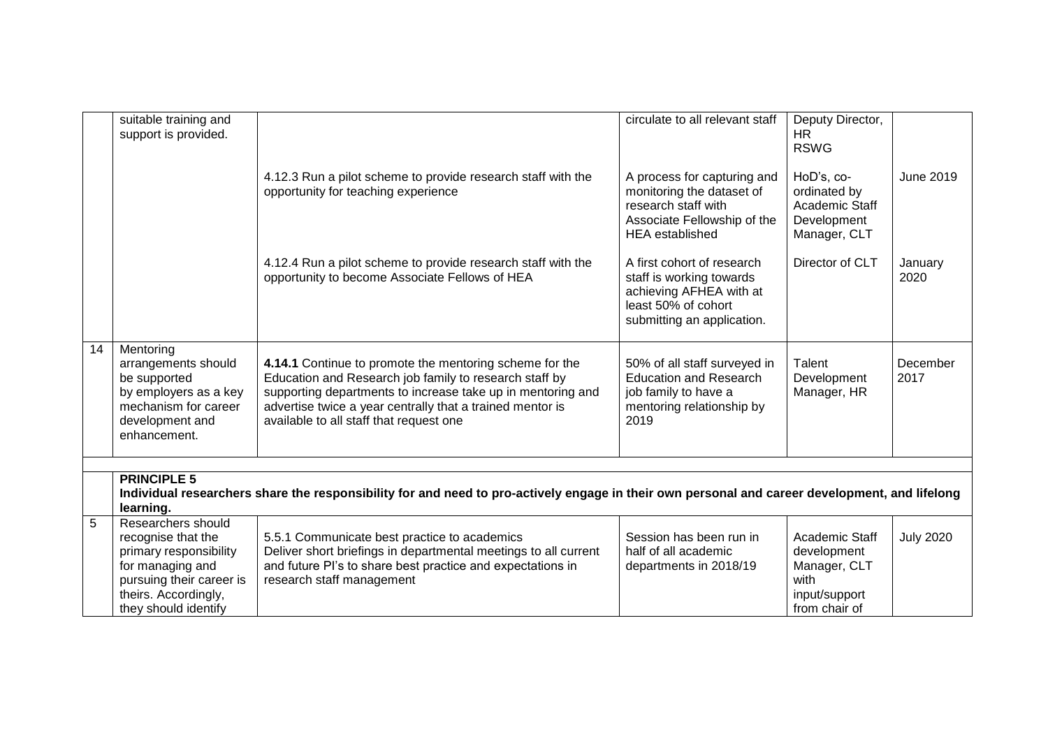|    | suitable training and<br>support is provided.                                                                                                                                     |                                                                                                                                                                                                                                                                                          | circulate to all relevant staff                                                                                                          | Deputy Director,<br><b>HR</b><br><b>RSWG</b>                                            |                  |  |
|----|-----------------------------------------------------------------------------------------------------------------------------------------------------------------------------------|------------------------------------------------------------------------------------------------------------------------------------------------------------------------------------------------------------------------------------------------------------------------------------------|------------------------------------------------------------------------------------------------------------------------------------------|-----------------------------------------------------------------------------------------|------------------|--|
|    |                                                                                                                                                                                   | 4.12.3 Run a pilot scheme to provide research staff with the<br>opportunity for teaching experience                                                                                                                                                                                      | A process for capturing and<br>monitoring the dataset of<br>research staff with<br>Associate Fellowship of the<br><b>HEA</b> established | HoD's, co-<br>ordinated by<br>Academic Staff<br>Development<br>Manager, CLT             | June 2019        |  |
|    |                                                                                                                                                                                   | 4.12.4 Run a pilot scheme to provide research staff with the<br>opportunity to become Associate Fellows of HEA                                                                                                                                                                           | A first cohort of research<br>staff is working towards<br>achieving AFHEA with at<br>least 50% of cohort<br>submitting an application.   | Director of CLT                                                                         | January<br>2020  |  |
| 14 | Mentoring<br>arrangements should<br>be supported<br>by employers as a key<br>mechanism for career<br>development and<br>enhancement.                                              | 4.14.1 Continue to promote the mentoring scheme for the<br>Education and Research job family to research staff by<br>supporting departments to increase take up in mentoring and<br>advertise twice a year centrally that a trained mentor is<br>available to all staff that request one | 50% of all staff surveyed in<br><b>Education and Research</b><br>job family to have a<br>mentoring relationship by<br>2019               | Talent<br>Development<br>Manager, HR                                                    | December<br>2017 |  |
|    |                                                                                                                                                                                   |                                                                                                                                                                                                                                                                                          |                                                                                                                                          |                                                                                         |                  |  |
|    | <b>PRINCIPLE 5</b><br>Individual researchers share the responsibility for and need to pro-actively engage in their own personal and career development, and lifelong<br>learning. |                                                                                                                                                                                                                                                                                          |                                                                                                                                          |                                                                                         |                  |  |
| 5  | Researchers should<br>recognise that the<br>primary responsibility<br>for managing and<br>pursuing their career is<br>theirs. Accordingly,<br>they should identify                | 5.5.1 Communicate best practice to academics<br>Deliver short briefings in departmental meetings to all current<br>and future PI's to share best practice and expectations in<br>research staff management                                                                               | Session has been run in<br>half of all academic<br>departments in 2018/19                                                                | Academic Staff<br>development<br>Manager, CLT<br>with<br>input/support<br>from chair of | <b>July 2020</b> |  |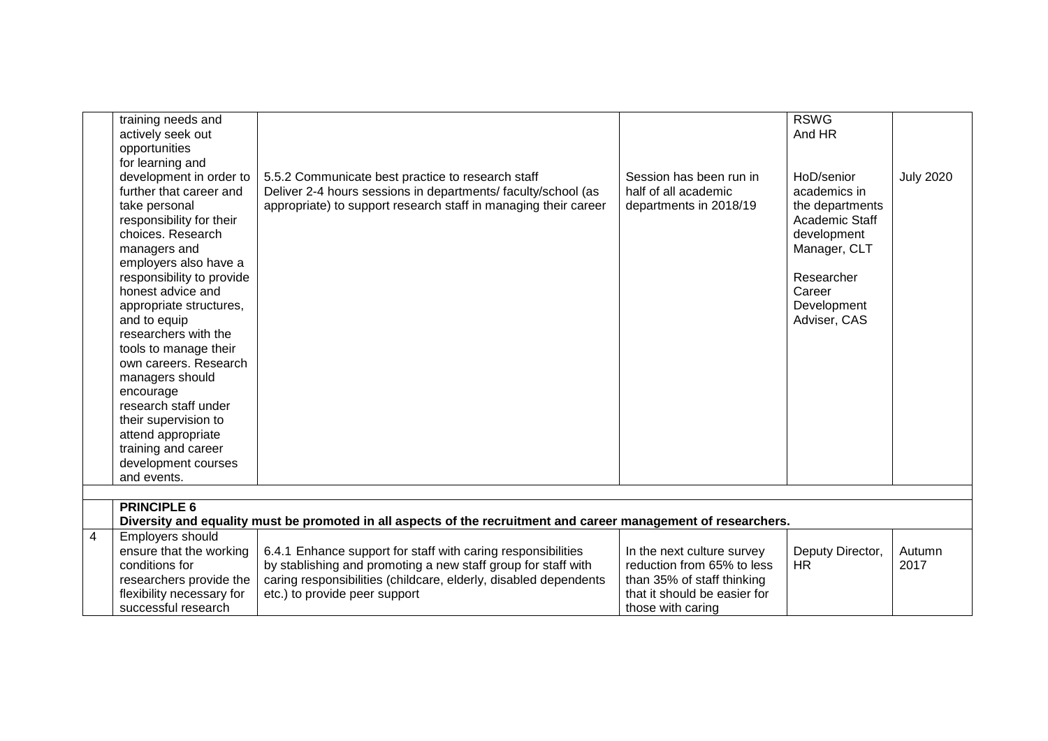|   | training needs and<br>actively seek out<br>opportunities                                                                                                                                                                                                                                                                                                                                                                                                                                                                    |                                                                                                                                                                                                                                    |                                                                                                                                             | <b>RSWG</b><br>And HR                                                                                                                                 |                  |
|---|-----------------------------------------------------------------------------------------------------------------------------------------------------------------------------------------------------------------------------------------------------------------------------------------------------------------------------------------------------------------------------------------------------------------------------------------------------------------------------------------------------------------------------|------------------------------------------------------------------------------------------------------------------------------------------------------------------------------------------------------------------------------------|---------------------------------------------------------------------------------------------------------------------------------------------|-------------------------------------------------------------------------------------------------------------------------------------------------------|------------------|
|   | for learning and<br>development in order to<br>further that career and<br>take personal<br>responsibility for their<br>choices. Research<br>managers and<br>employers also have a<br>responsibility to provide<br>honest advice and<br>appropriate structures,<br>and to equip<br>researchers with the<br>tools to manage their<br>own careers. Research<br>managers should<br>encourage<br>research staff under<br>their supervision to<br>attend appropriate<br>training and career<br>development courses<br>and events. | 5.5.2 Communicate best practice to research staff<br>Deliver 2-4 hours sessions in departments/faculty/school (as<br>appropriate) to support research staff in managing their career                                               | Session has been run in<br>half of all academic<br>departments in 2018/19                                                                   | HoD/senior<br>academics in<br>the departments<br>Academic Staff<br>development<br>Manager, CLT<br>Researcher<br>Career<br>Development<br>Adviser, CAS | <b>July 2020</b> |
|   |                                                                                                                                                                                                                                                                                                                                                                                                                                                                                                                             |                                                                                                                                                                                                                                    |                                                                                                                                             |                                                                                                                                                       |                  |
|   | <b>PRINCIPLE 6</b>                                                                                                                                                                                                                                                                                                                                                                                                                                                                                                          | Diversity and equality must be promoted in all aspects of the recruitment and career management of researchers.                                                                                                                    |                                                                                                                                             |                                                                                                                                                       |                  |
| 4 | Employers should<br>ensure that the working<br>conditions for<br>researchers provide the<br>flexibility necessary for<br>successful research                                                                                                                                                                                                                                                                                                                                                                                | 6.4.1 Enhance support for staff with caring responsibilities<br>by stablishing and promoting a new staff group for staff with<br>caring responsibilities (childcare, elderly, disabled dependents<br>etc.) to provide peer support | In the next culture survey<br>reduction from 65% to less<br>than 35% of staff thinking<br>that it should be easier for<br>those with caring | Deputy Director,<br><b>HR</b>                                                                                                                         | Autumn<br>2017   |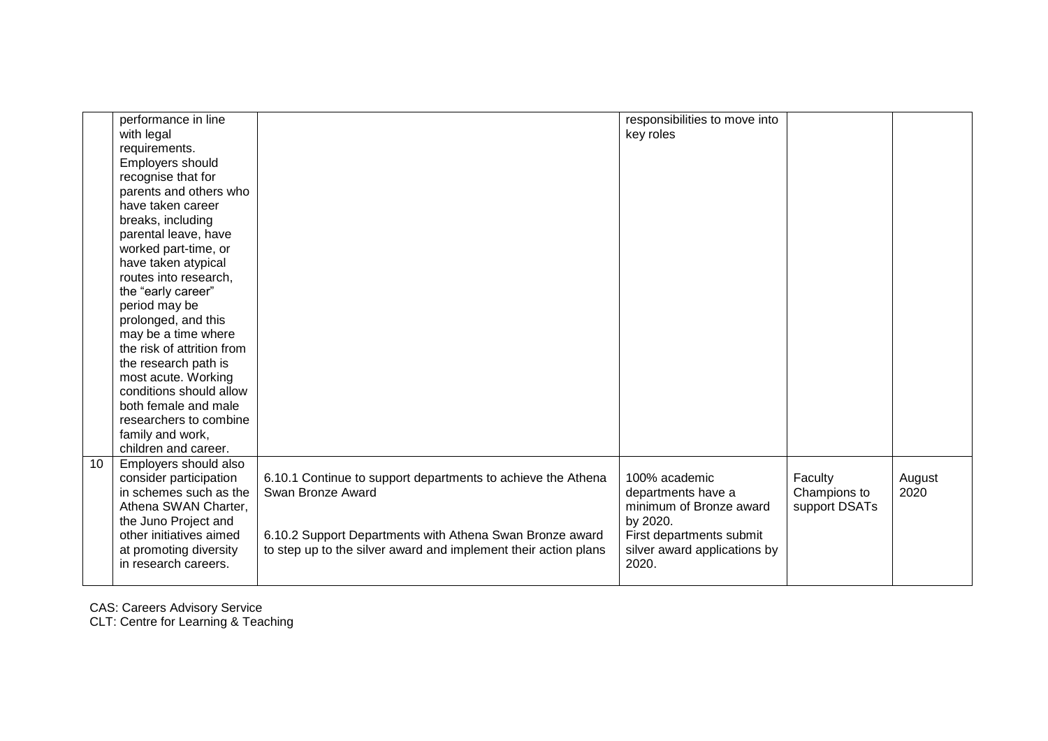|    | performance in line        |                                                                 | responsibilities to move into |               |        |
|----|----------------------------|-----------------------------------------------------------------|-------------------------------|---------------|--------|
|    | with legal                 |                                                                 | key roles                     |               |        |
|    | requirements.              |                                                                 |                               |               |        |
|    | Employers should           |                                                                 |                               |               |        |
|    | recognise that for         |                                                                 |                               |               |        |
|    | parents and others who     |                                                                 |                               |               |        |
|    | have taken career          |                                                                 |                               |               |        |
|    | breaks, including          |                                                                 |                               |               |        |
|    | parental leave, have       |                                                                 |                               |               |        |
|    | worked part-time, or       |                                                                 |                               |               |        |
|    | have taken atypical        |                                                                 |                               |               |        |
|    | routes into research,      |                                                                 |                               |               |        |
|    | the "early career"         |                                                                 |                               |               |        |
|    | period may be              |                                                                 |                               |               |        |
|    | prolonged, and this        |                                                                 |                               |               |        |
|    | may be a time where        |                                                                 |                               |               |        |
|    | the risk of attrition from |                                                                 |                               |               |        |
|    | the research path is       |                                                                 |                               |               |        |
|    | most acute. Working        |                                                                 |                               |               |        |
|    | conditions should allow    |                                                                 |                               |               |        |
|    | both female and male       |                                                                 |                               |               |        |
|    | researchers to combine     |                                                                 |                               |               |        |
|    | family and work,           |                                                                 |                               |               |        |
|    | children and career.       |                                                                 |                               |               |        |
| 10 | Employers should also      |                                                                 |                               |               |        |
|    | consider participation     | 6.10.1 Continue to support departments to achieve the Athena    | 100% academic                 | Faculty       | August |
|    | in schemes such as the     | Swan Bronze Award                                               | departments have a            | Champions to  | 2020   |
|    | Athena SWAN Charter,       |                                                                 | minimum of Bronze award       | support DSATs |        |
|    | the Juno Project and       |                                                                 | by 2020.                      |               |        |
|    | other initiatives aimed    | 6.10.2 Support Departments with Athena Swan Bronze award        | First departments submit      |               |        |
|    | at promoting diversity     | to step up to the silver award and implement their action plans | silver award applications by  |               |        |
|    | in research careers.       |                                                                 | 2020.                         |               |        |
|    |                            |                                                                 |                               |               |        |

CAS: Careers Advisory Service

CLT: Centre for Learning & Teaching